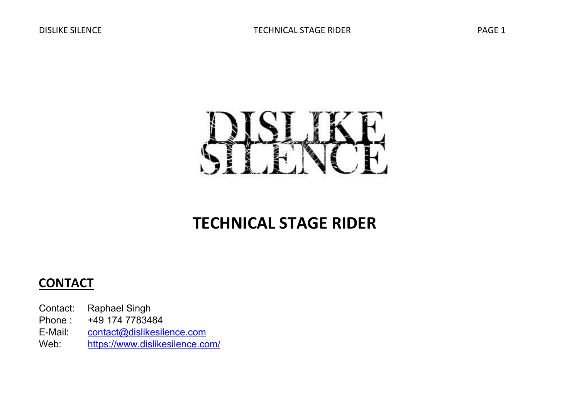

# TECHNICAL STAGE RIDER

## **CONTACT**

- Contact: Raphael Singh
- Phone : +49 174 7783484
- E-Mail: contact@dislikesilence.com
- Web: https://www.dislikesilence.com/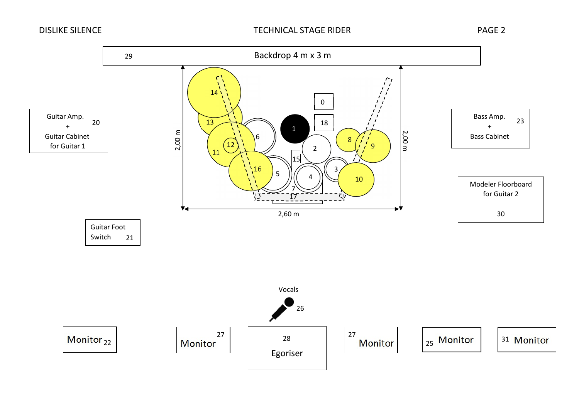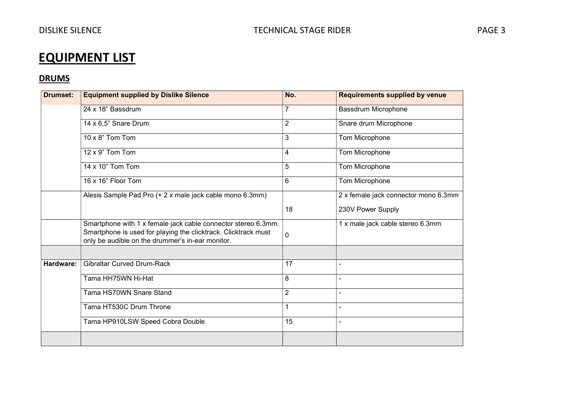# EQUIPMENT LIST

### **DRUMS**

| <b>Drumset:</b> | <b>Equipment supplied by Dislike Silence</b>                                                                                                                                        | No.            | <b>Requirements supplied by venue</b> |
|-----------------|-------------------------------------------------------------------------------------------------------------------------------------------------------------------------------------|----------------|---------------------------------------|
|                 | 24 x 18" Bassdrum                                                                                                                                                                   | $\overline{7}$ | Bassdrum Microphone                   |
|                 | 14 x 6,5" Snare Drum                                                                                                                                                                | $\overline{2}$ | Snare drum Microphone                 |
|                 | 10 x $8$ " Tom Tom                                                                                                                                                                  | 3              | Tom Microphone                        |
|                 | 12 x 9" Tom Tom                                                                                                                                                                     | 4              | Tom Microphone                        |
|                 | 14 x 10" Tom Tom                                                                                                                                                                    | 5              | Tom Microphone                        |
|                 | 16 x 16" Floor Tom                                                                                                                                                                  | 6              | Tom Microphone                        |
|                 | Alesis Sample Pad Pro (+ 2 x male jack cable mono 6.3mm)                                                                                                                            |                | 2 x female jack connector mono 6.3mm  |
|                 |                                                                                                                                                                                     | 18             | 230V Power Supply                     |
|                 | Smartphone with 1 x female jack cable connector stereo 6.3mm.<br>Smartphone is used for playing the clicktrack. Clicktrack must<br>only be audible on the drummer's in-ear monitor. | 0              | 1 x male jack cable stereo 6.3mm      |
|                 |                                                                                                                                                                                     |                |                                       |
| Hardware:       | <b>Gibraltar Curved Drum-Rack</b>                                                                                                                                                   | 17             |                                       |
|                 | Tama HH75WN Hi-Hat                                                                                                                                                                  | 8              |                                       |
|                 | Tama HS70WN Snare Stand                                                                                                                                                             | $\overline{2}$ |                                       |
|                 | Tama HT530C Drum Throne                                                                                                                                                             | 1              | $\blacksquare$                        |
|                 | Tama HP910LSW Speed Cobra Double                                                                                                                                                    | 15             | ä,                                    |
|                 |                                                                                                                                                                                     |                |                                       |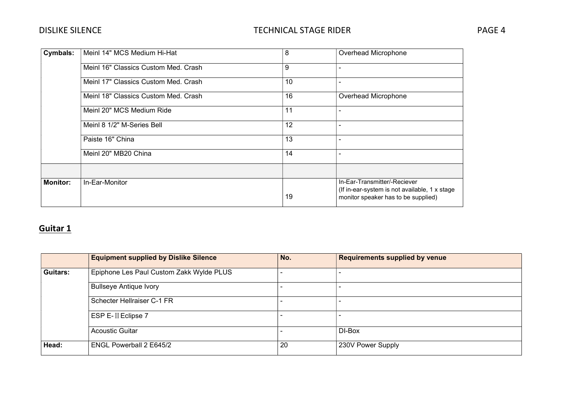| <b>Cymbals:</b> | Meinl 14" MCS Medium Hi-Hat          | 8  | Overhead Microphone                                                                                                  |  |
|-----------------|--------------------------------------|----|----------------------------------------------------------------------------------------------------------------------|--|
|                 | Meinl 16" Classics Custom Med. Crash | 9  | Overhead Microphone                                                                                                  |  |
|                 | Meinl 17" Classics Custom Med. Crash | 10 |                                                                                                                      |  |
|                 | Meinl 18" Classics Custom Med. Crash | 16 |                                                                                                                      |  |
|                 | Meinl 20" MCS Medium Ride            | 11 |                                                                                                                      |  |
|                 | Meinl 8 1/2" M-Series Bell           | 12 |                                                                                                                      |  |
|                 | Paiste 16" China                     | 13 |                                                                                                                      |  |
|                 | Meinl 20" MB20 China                 | 14 |                                                                                                                      |  |
|                 |                                      |    |                                                                                                                      |  |
| <b>Monitor:</b> | In-Ear-Monitor                       | 19 | In-Ear-Transmitter/-Reciever<br>(If in-ear-system is not available, 1 x stage<br>monitor speaker has to be supplied) |  |

### Guitar 1

|          | <b>Equipment supplied by Dislike Silence</b> | No. | <b>Requirements supplied by venue</b> |
|----------|----------------------------------------------|-----|---------------------------------------|
| Guitars: | Epiphone Les Paul Custom Zakk Wylde PLUS     |     |                                       |
|          | <b>Bullseye Antique Ivory</b>                |     |                                       |
|          | Schecter Hellraiser C-1 FR                   |     |                                       |
|          | ESP E- II Eclipse 7                          |     |                                       |
|          | Acoustic Guitar                              |     | DI-Box                                |
| Head:    | <b>ENGL Powerball 2 E645/2</b>               | 20  | 230V Power Supply                     |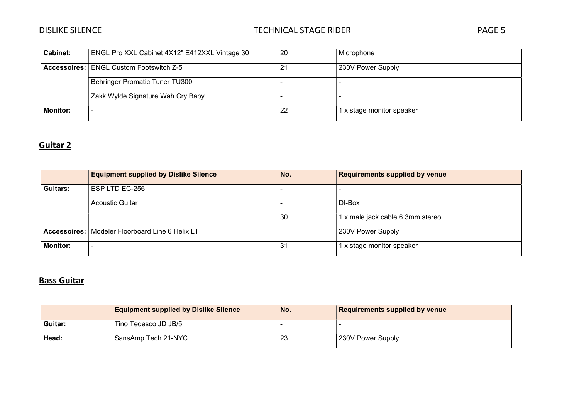| <b>Cabinet:</b> | ENGL Pro XXL Cabinet 4X12" E412XXL Vintage 30  | 20  | Microphone                |
|-----------------|------------------------------------------------|-----|---------------------------|
|                 | <b>Accessoires: ENGL Custom Footswitch Z-5</b> | 21  | 230V Power Supply         |
|                 | Behringer Promatic Tuner TU300                 |     |                           |
|                 | Zakk Wylde Signature Wah Cry Baby              |     |                           |
| <b>Monitor:</b> |                                                | -22 | 1 x stage monitor speaker |

### Guitar 2

|                 | <b>Equipment supplied by Dislike Silence</b>      | No. | <b>Requirements supplied by venue</b> |
|-----------------|---------------------------------------------------|-----|---------------------------------------|
| Guitars:        | ESP LTD EC-256                                    |     |                                       |
|                 | <b>Acoustic Guitar</b>                            |     | DI-Box                                |
|                 |                                                   | 30  | 1 x male jack cable 6.3mm stereo      |
|                 | Accessoires:   Modeler Floorboard Line 6 Helix LT |     | 230V Power Supply                     |
| <b>Monitor:</b> |                                                   | 31  | 1 x stage monitor speaker             |

### Bass Guitar

|         | <b>Equipment supplied by Dislike Silence</b> | No. | <b>Requirements supplied by venue</b> |
|---------|----------------------------------------------|-----|---------------------------------------|
| Guitar: | Tino Tedesco JD JB/5                         |     |                                       |
| Head:   | SansAmp Tech 21-NYC                          | 23  | 230V Power Supply                     |